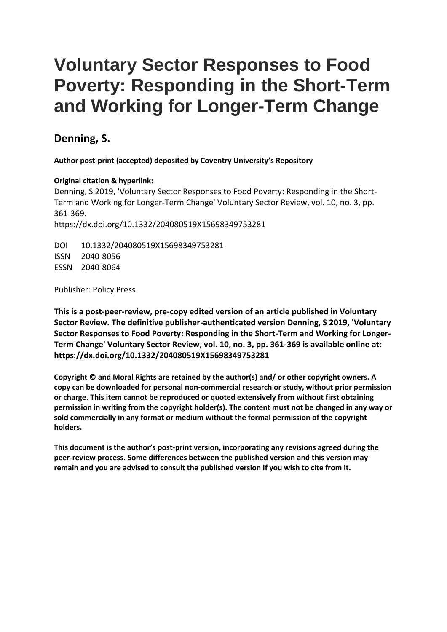# **Voluntary Sector Responses to Food Poverty: Responding in the Short-Term and Working for Longer-Term Change**

# **Denning, S.**

**Author post-print (accepted) deposited by Coventry University's Repository**

# **Original citation & hyperlink:**

Denning, S 2019, 'Voluntary Sector Responses to Food Poverty: Responding in the Short-Term and Working for Longer-Term Change' Voluntary Sector Review, vol. 10, no. 3, pp. 361-369. https://dx.doi.org/10.1332/204080519X15698349753281

DOI 10.1332/204080519X15698349753281 ISSN 2040-8056 ESSN 2040-8064

Publisher: Policy Press

**This is a post-peer-review, pre-copy edited version of an article published in Voluntary Sector Review. The definitive publisher-authenticated version Denning, S 2019, 'Voluntary Sector Responses to Food Poverty: Responding in the Short-Term and Working for Longer-Term Change' Voluntary Sector Review, vol. 10, no. 3, pp. 361-369 is available online at: https://dx.doi.org/10.1332/204080519X15698349753281**

**Copyright © and Moral Rights are retained by the author(s) and/ or other copyright owners. A copy can be downloaded for personal non-commercial research or study, without prior permission or charge. This item cannot be reproduced or quoted extensively from without first obtaining permission in writing from the copyright holder(s). The content must not be changed in any way or sold commercially in any format or medium without the formal permission of the copyright holders.** 

**This document is the author's post-print version, incorporating any revisions agreed during the peer-review process. Some differences between the published version and this version may remain and you are advised to consult the published version if you wish to cite from it.**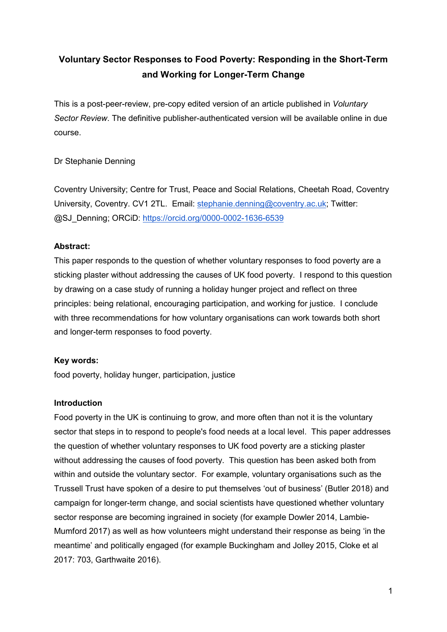# **Voluntary Sector Responses to Food Poverty: Responding in the Short-Term and Working for Longer-Term Change**

This is a post-peer-review, pre-copy edited version of an article published in *Voluntary Sector Review*. The definitive publisher-authenticated version will be available online in due course.

Dr Stephanie Denning

Coventry University; Centre for Trust, Peace and Social Relations, Cheetah Road, Coventry University, Coventry. CV1 2TL. Email: [stephanie.denning@coventry.ac.uk;](mailto:stephanie.denning@coventry.ac.uk) Twitter: @SJ\_Denning; ORCiD:<https://orcid.org/0000-0002-1636-6539>

# **Abstract:**

This paper responds to the question of whether voluntary responses to food poverty are a sticking plaster without addressing the causes of UK food poverty. I respond to this question by drawing on a case study of running a holiday hunger project and reflect on three principles: being relational, encouraging participation, and working for justice. I conclude with three recommendations for how voluntary organisations can work towards both short and longer-term responses to food poverty.

# **Key words:**

food poverty, holiday hunger, participation, justice

# **Introduction**

Food poverty in the UK is continuing to grow, and more often than not it is the voluntary sector that steps in to respond to people's food needs at a local level. This paper addresses the question of whether voluntary responses to UK food poverty are a sticking plaster without addressing the causes of food poverty. This question has been asked both from within and outside the voluntary sector. For example, voluntary organisations such as the Trussell Trust have spoken of a desire to put themselves 'out of business' (Butler 2018) and campaign for longer-term change, and social scientists have questioned whether voluntary sector response are becoming ingrained in society (for example Dowler 2014, Lambie-Mumford 2017) as well as how volunteers might understand their response as being 'in the meantime' and politically engaged (for example Buckingham and Jolley 2015, Cloke et al 2017: 703, Garthwaite 2016).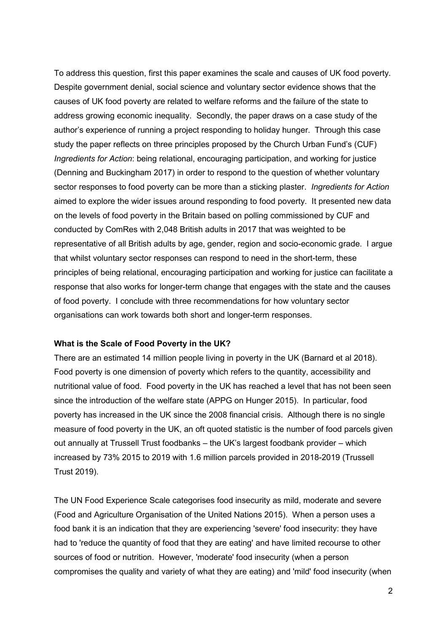To address this question, first this paper examines the scale and causes of UK food poverty. Despite government denial, social science and voluntary sector evidence shows that the causes of UK food poverty are related to welfare reforms and the failure of the state to address growing economic inequality. Secondly, the paper draws on a case study of the author's experience of running a project responding to holiday hunger. Through this case study the paper reflects on three principles proposed by the Church Urban Fund's (CUF) *Ingredients for Action*: being relational, encouraging participation, and working for justice (Denning and Buckingham 2017) in order to respond to the question of whether voluntary sector responses to food poverty can be more than a sticking plaster. *Ingredients for Action* aimed to explore the wider issues around responding to food poverty. It presented new data on the levels of food poverty in the Britain based on polling commissioned by CUF and conducted by ComRes with 2,048 British adults in 2017 that was weighted to be representative of all British adults by age, gender, region and socio-economic grade. I argue that whilst voluntary sector responses can respond to need in the short-term, these principles of being relational, encouraging participation and working for justice can facilitate a response that also works for longer-term change that engages with the state and the causes of food poverty. I conclude with three recommendations for how voluntary sector organisations can work towards both short and longer-term responses.

#### **What is the Scale of Food Poverty in the UK?**

There are an estimated 14 million people living in poverty in the UK (Barnard et al 2018). Food poverty is one dimension of poverty which refers to the quantity, accessibility and nutritional value of food. Food poverty in the UK has reached a level that has not been seen since the introduction of the welfare state (APPG on Hunger 2015). In particular, food poverty has increased in the UK since the 2008 financial crisis. Although there is no single measure of food poverty in the UK, an oft quoted statistic is the number of food parcels given out annually at Trussell Trust foodbanks – the UK's largest foodbank provider – which increased by 73% 2015 to 2019 with 1.6 million parcels provided in 2018-2019 (Trussell Trust 2019).

The UN Food Experience Scale categorises food insecurity as mild, moderate and severe (Food and Agriculture Organisation of the United Nations 2015). When a person uses a food bank it is an indication that they are experiencing 'severe' food insecurity: they have had to 'reduce the quantity of food that they are eating' and have limited recourse to other sources of food or nutrition. However, 'moderate' food insecurity (when a person compromises the quality and variety of what they are eating) and 'mild' food insecurity (when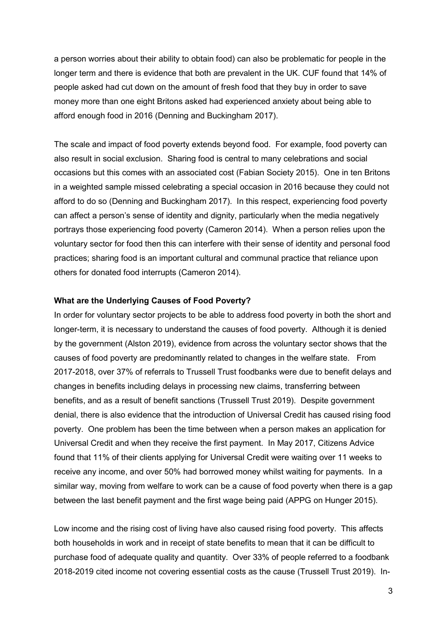a person worries about their ability to obtain food) can also be problematic for people in the longer term and there is evidence that both are prevalent in the UK. CUF found that 14% of people asked had cut down on the amount of fresh food that they buy in order to save money more than one eight Britons asked had experienced anxiety about being able to afford enough food in 2016 (Denning and Buckingham 2017).

The scale and impact of food poverty extends beyond food. For example, food poverty can also result in social exclusion. Sharing food is central to many celebrations and social occasions but this comes with an associated cost (Fabian Society 2015). One in ten Britons in a weighted sample missed celebrating a special occasion in 2016 because they could not afford to do so (Denning and Buckingham 2017). In this respect, experiencing food poverty can affect a person's sense of identity and dignity, particularly when the media negatively portrays those experiencing food poverty (Cameron 2014). When a person relies upon the voluntary sector for food then this can interfere with their sense of identity and personal food practices; sharing food is an important cultural and communal practice that reliance upon others for donated food interrupts (Cameron 2014).

#### **What are the Underlying Causes of Food Poverty?**

In order for voluntary sector projects to be able to address food poverty in both the short and longer-term, it is necessary to understand the causes of food poverty. Although it is denied by the government (Alston 2019), evidence from across the voluntary sector shows that the causes of food poverty are predominantly related to changes in the welfare state. From 2017-2018, over 37% of referrals to Trussell Trust foodbanks were due to benefit delays and changes in benefits including delays in processing new claims, transferring between benefits, and as a result of benefit sanctions (Trussell Trust 2019). Despite government denial, there is also evidence that the introduction of Universal Credit has caused rising food poverty. One problem has been the time between when a person makes an application for Universal Credit and when they receive the first payment. In May 2017, Citizens Advice found that 11% of their clients applying for Universal Credit were waiting over 11 weeks to receive any income, and over 50% had borrowed money whilst waiting for payments. In a similar way, moving from welfare to work can be a cause of food poverty when there is a gap between the last benefit payment and the first wage being paid (APPG on Hunger 2015).

Low income and the rising cost of living have also caused rising food poverty. This affects both households in work and in receipt of state benefits to mean that it can be difficult to purchase food of adequate quality and quantity. Over 33% of people referred to a foodbank 2018-2019 cited income not covering essential costs as the cause (Trussell Trust 2019). In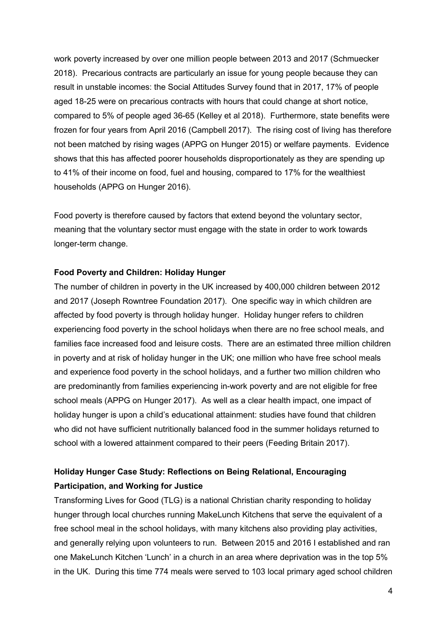work poverty increased by over one million people between 2013 and 2017 (Schmuecker 2018). Precarious contracts are particularly an issue for young people because they can result in unstable incomes: the Social Attitudes Survey found that in 2017, 17% of people aged 18-25 were on precarious contracts with hours that could change at short notice, compared to 5% of people aged 36-65 (Kelley et al 2018). Furthermore, state benefits were frozen for four years from April 2016 (Campbell 2017). The rising cost of living has therefore not been matched by rising wages (APPG on Hunger 2015) or welfare payments. Evidence shows that this has affected poorer households disproportionately as they are spending up to 41% of their income on food, fuel and housing, compared to 17% for the wealthiest households (APPG on Hunger 2016).

Food poverty is therefore caused by factors that extend beyond the voluntary sector, meaning that the voluntary sector must engage with the state in order to work towards longer-term change.

#### **Food Poverty and Children: Holiday Hunger**

The number of children in poverty in the UK increased by 400,000 children between 2012 and 2017 (Joseph Rowntree Foundation 2017). One specific way in which children are affected by food poverty is through holiday hunger. Holiday hunger refers to children experiencing food poverty in the school holidays when there are no free school meals, and families face increased food and leisure costs. There are an estimated three million children in poverty and at risk of holiday hunger in the UK; one million who have free school meals and experience food poverty in the school holidays, and a further two million children who are predominantly from families experiencing in-work poverty and are not eligible for free school meals (APPG on Hunger 2017). As well as a clear health impact, one impact of holiday hunger is upon a child's educational attainment: studies have found that children who did not have sufficient nutritionally balanced food in the summer holidays returned to school with a lowered attainment compared to their peers (Feeding Britain 2017).

# **Holiday Hunger Case Study: Reflections on Being Relational, Encouraging Participation, and Working for Justice**

Transforming Lives for Good (TLG) is a national Christian charity responding to holiday hunger through local churches running MakeLunch Kitchens that serve the equivalent of a free school meal in the school holidays, with many kitchens also providing play activities, and generally relying upon volunteers to run. Between 2015 and 2016 I established and ran one MakeLunch Kitchen 'Lunch' in a church in an area where deprivation was in the top 5% in the UK. During this time 774 meals were served to 103 local primary aged school children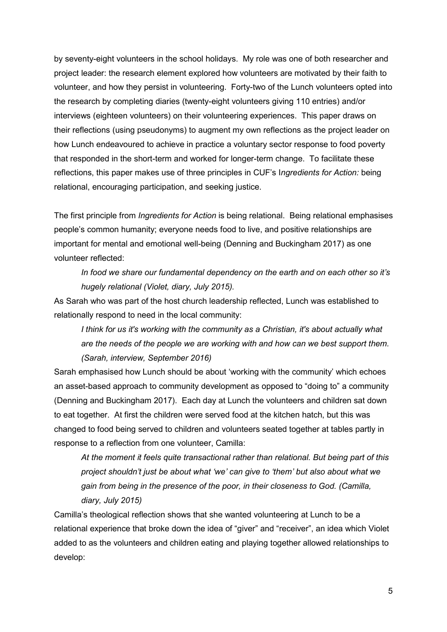by seventy-eight volunteers in the school holidays. My role was one of both researcher and project leader: the research element explored how volunteers are motivated by their faith to volunteer, and how they persist in volunteering. Forty-two of the Lunch volunteers opted into the research by completing diaries (twenty-eight volunteers giving 110 entries) and/or interviews (eighteen volunteers) on their volunteering experiences. This paper draws on their reflections (using pseudonyms) to augment my own reflections as the project leader on how Lunch endeavoured to achieve in practice a voluntary sector response to food poverty that responded in the short-term and worked for longer-term change. To facilitate these reflections, this paper makes use of three principles in CUF's I*ngredients for Action:* being relational, encouraging participation, and seeking justice.

The first principle from *Ingredients for Action* is being relational. Being relational emphasises people's common humanity; everyone needs food to live, and positive relationships are important for mental and emotional well-being (Denning and Buckingham 2017) as one volunteer reflected:

*In food we share our fundamental dependency on the earth and on each other so it's hugely relational (Violet, diary, July 2015).*

As Sarah who was part of the host church leadership reflected, Lunch was established to relationally respond to need in the local community:

*I think for us it's working with the community as a Christian, it's about actually what are the needs of the people we are working with and how can we best support them. (Sarah, interview, September 2016)*

Sarah emphasised how Lunch should be about 'working with the community' which echoes an asset-based approach to community development as opposed to "doing to" a community (Denning and Buckingham 2017). Each day at Lunch the volunteers and children sat down to eat together. At first the children were served food at the kitchen hatch, but this was changed to food being served to children and volunteers seated together at tables partly in response to a reflection from one volunteer, Camilla:

*At the moment it feels quite transactional rather than relational. But being part of this project shouldn't just be about what 'we' can give to 'them' but also about what we gain from being in the presence of the poor, in their closeness to God. (Camilla, diary, July 2015)*

Camilla's theological reflection shows that she wanted volunteering at Lunch to be a relational experience that broke down the idea of "giver" and "receiver", an idea which Violet added to as the volunteers and children eating and playing together allowed relationships to develop: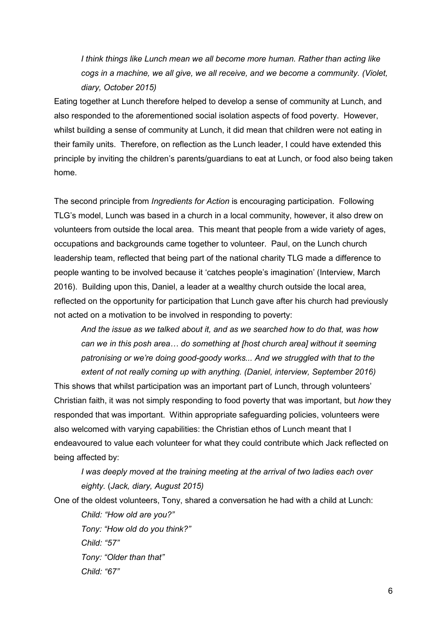*I think things like Lunch mean we all become more human. Rather than acting like cogs in a machine, we all give, we all receive, and we become a community. (Violet, diary, October 2015)* 

Eating together at Lunch therefore helped to develop a sense of community at Lunch, and also responded to the aforementioned social isolation aspects of food poverty. However, whilst building a sense of community at Lunch, it did mean that children were not eating in their family units. Therefore, on reflection as the Lunch leader, I could have extended this principle by inviting the children's parents/guardians to eat at Lunch, or food also being taken home.

The second principle from *Ingredients for Action* is encouraging participation. Following TLG's model, Lunch was based in a church in a local community, however, it also drew on volunteers from outside the local area. This meant that people from a wide variety of ages, occupations and backgrounds came together to volunteer. Paul, on the Lunch church leadership team, reflected that being part of the national charity TLG made a difference to people wanting to be involved because it 'catches people's imagination' (Interview, March 2016). Building upon this, Daniel, a leader at a wealthy church outside the local area, reflected on the opportunity for participation that Lunch gave after his church had previously not acted on a motivation to be involved in responding to poverty:

*And the issue as we talked about it, and as we searched how to do that, was how can we in this posh area… do something at [host church area] without it seeming patronising or we're doing good-goody works... And we struggled with that to the extent of not really coming up with anything. (Daniel, interview, September 2016)*

This shows that whilst participation was an important part of Lunch, through volunteers' Christian faith, it was not simply responding to food poverty that was important, but *how* they responded that was important. Within appropriate safeguarding policies, volunteers were also welcomed with varying capabilities: the Christian ethos of Lunch meant that I endeavoured to value each volunteer for what they could contribute which Jack reflected on being affected by:

*I was deeply moved at the training meeting at the arrival of two ladies each over eighty.* (*Jack, diary, August 2015)*

One of the oldest volunteers, Tony, shared a conversation he had with a child at Lunch:

*Child: "How old are you?" Tony: "How old do you think?" Child: "57" Tony: "Older than that" Child: "67"*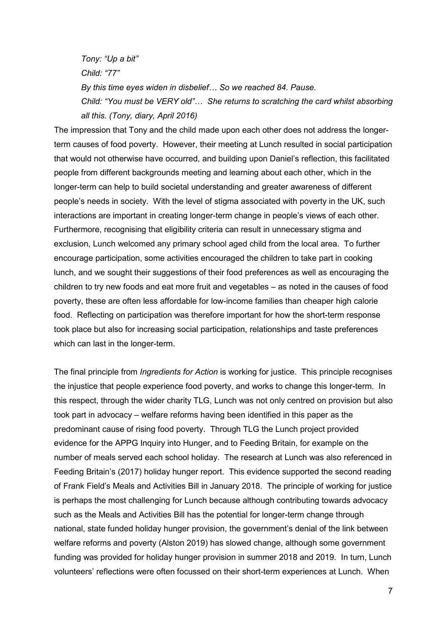*Tony: "Up a bit" Child: "77" By this time eyes widen in disbelief… So we reached 84. Pause. Child: "You must be VERY old"… She returns to scratching the card whilst absorbing all this. (Tony, diary, April 2016)*

The impression that Tony and the child made upon each other does not address the longerterm causes of food poverty. However, their meeting at Lunch resulted in social participation that would not otherwise have occurred, and building upon Daniel's reflection, this facilitated people from different backgrounds meeting and learning about each other, which in the longer-term can help to build societal understanding and greater awareness of different people's needs in society. With the level of stigma associated with poverty in the UK, such interactions are important in creating longer-term change in people's views of each other. Furthermore, recognising that eligibility criteria can result in unnecessary stigma and exclusion, Lunch welcomed any primary school aged child from the local area. To further encourage participation, some activities encouraged the children to take part in cooking lunch, and we sought their suggestions of their food preferences as well as encouraging the children to try new foods and eat more fruit and vegetables – as noted in the causes of food poverty, these are often less affordable for low-income families than cheaper high calorie food. Reflecting on participation was therefore important for how the short-term response took place but also for increasing social participation, relationships and taste preferences which can last in the longer-term.

The final principle from *Ingredients for Action* is working for justice. This principle recognises the injustice that people experience food poverty, and works to change this longer-term. In this respect, through the wider charity TLG, Lunch was not only centred on provision but also took part in advocacy – welfare reforms having been identified in this paper as the predominant cause of rising food poverty. Through TLG the Lunch project provided evidence for the APPG Inquiry into Hunger, and to Feeding Britain, for example on the number of meals served each school holiday. The research at Lunch was also referenced in Feeding Britain's (2017) holiday hunger report. This evidence supported the second reading of Frank Field's Meals and Activities Bill in January 2018. The principle of working for justice is perhaps the most challenging for Lunch because although contributing towards advocacy such as the Meals and Activities Bill has the potential for longer-term change through national, state funded holiday hunger provision, the government's denial of the link between welfare reforms and poverty (Alston 2019) has slowed change, although some government funding was provided for holiday hunger provision in summer 2018 and 2019. In turn, Lunch volunteers' reflections were often focussed on their short-term experiences at Lunch. When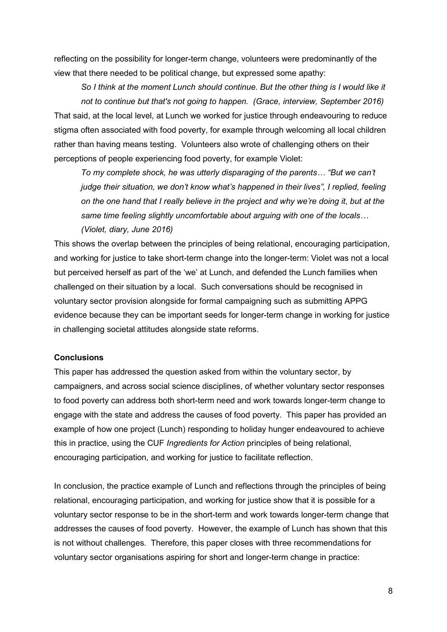reflecting on the possibility for longer-term change, volunteers were predominantly of the view that there needed to be political change, but expressed some apathy:

*So I think at the moment Lunch should continue. But the other thing is I would like it not to continue but that's not going to happen. (Grace, interview, September 2016)* That said, at the local level, at Lunch we worked for justice through endeavouring to reduce stigma often associated with food poverty, for example through welcoming all local children rather than having means testing. Volunteers also wrote of challenging others on their perceptions of people experiencing food poverty, for example Violet:

*To my complete shock, he was utterly disparaging of the parents… "But we can't judge their situation, we don't know what's happened in their lives", I replied, feeling on the one hand that I really believe in the project and why we're doing it, but at the same time feeling slightly uncomfortable about arguing with one of the locals… (Violet, diary, June 2016)*

This shows the overlap between the principles of being relational, encouraging participation, and working for justice to take short-term change into the longer-term: Violet was not a local but perceived herself as part of the 'we' at Lunch, and defended the Lunch families when challenged on their situation by a local. Such conversations should be recognised in voluntary sector provision alongside for formal campaigning such as submitting APPG evidence because they can be important seeds for longer-term change in working for justice in challenging societal attitudes alongside state reforms.

#### **Conclusions**

This paper has addressed the question asked from within the voluntary sector, by campaigners, and across social science disciplines, of whether voluntary sector responses to food poverty can address both short-term need and work towards longer-term change to engage with the state and address the causes of food poverty. This paper has provided an example of how one project (Lunch) responding to holiday hunger endeavoured to achieve this in practice, using the CUF *Ingredients for Action* principles of being relational, encouraging participation, and working for justice to facilitate reflection.

In conclusion, the practice example of Lunch and reflections through the principles of being relational, encouraging participation, and working for justice show that it is possible for a voluntary sector response to be in the short-term and work towards longer-term change that addresses the causes of food poverty. However, the example of Lunch has shown that this is not without challenges. Therefore, this paper closes with three recommendations for voluntary sector organisations aspiring for short and longer-term change in practice: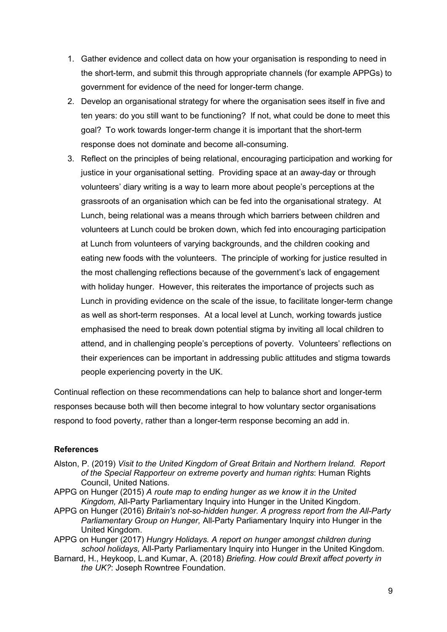- 1. Gather evidence and collect data on how your organisation is responding to need in the short-term, and submit this through appropriate channels (for example APPGs) to government for evidence of the need for longer-term change.
- 2. Develop an organisational strategy for where the organisation sees itself in five and ten years: do you still want to be functioning? If not, what could be done to meet this goal? To work towards longer-term change it is important that the short-term response does not dominate and become all-consuming.
- 3. Reflect on the principles of being relational, encouraging participation and working for justice in your organisational setting. Providing space at an away-day or through volunteers' diary writing is a way to learn more about people's perceptions at the grassroots of an organisation which can be fed into the organisational strategy. At Lunch, being relational was a means through which barriers between children and volunteers at Lunch could be broken down, which fed into encouraging participation at Lunch from volunteers of varying backgrounds, and the children cooking and eating new foods with the volunteers. The principle of working for justice resulted in the most challenging reflections because of the government's lack of engagement with holiday hunger. However, this reiterates the importance of projects such as Lunch in providing evidence on the scale of the issue, to facilitate longer-term change as well as short-term responses. At a local level at Lunch, working towards justice emphasised the need to break down potential stigma by inviting all local children to attend, and in challenging people's perceptions of poverty. Volunteers' reflections on their experiences can be important in addressing public attitudes and stigma towards people experiencing poverty in the UK.

Continual reflection on these recommendations can help to balance short and longer-term responses because both will then become integral to how voluntary sector organisations respond to food poverty, rather than a longer-term response becoming an add in.

## **References**

- Alston, P. (2019) *Visit to the United Kingdom of Great Britain and Northern Ireland. Report of the Special Rapporteur on extreme poverty and human rights*: Human Rights Council, United Nations.
- APPG on Hunger (2015) *A route map to ending hunger as we know it in the United Kingdom,* All-Party Parliamentary Inquiry into Hunger in the United Kingdom.
- APPG on Hunger (2016) *Britain's not-so-hidden hunger. A progress report from the All-Party Parliamentary Group on Hunger,* All-Party Parliamentary Inquiry into Hunger in the United Kingdom.
- APPG on Hunger (2017) *Hungry Holidays. A report on hunger amongst children during school holidays,* All-Party Parliamentary Inquiry into Hunger in the United Kingdom.
- Barnard, H., Heykoop, L.and Kumar, A. (2018) *Briefing. How could Brexit affect poverty in the UK?*: Joseph Rowntree Foundation.